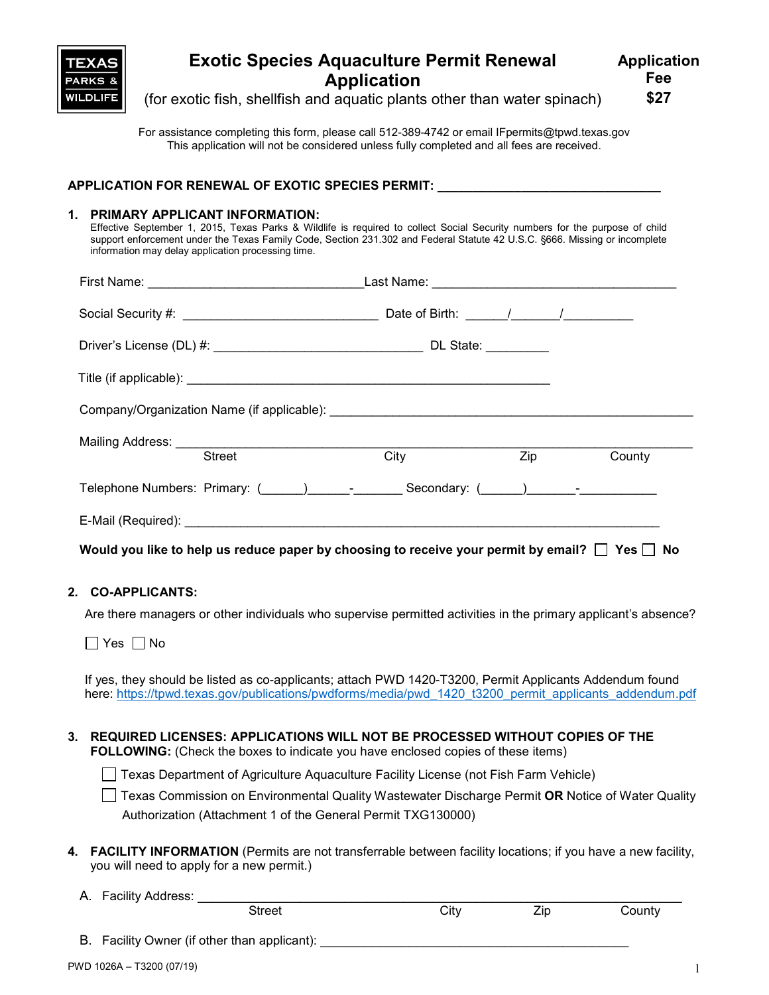

# **Exotic Species Aquaculture Permit Renewal Application**

(for exotic fish, shellfish and aquatic plants other than water spinach)

For assistance completing this form, please call 512-389-4742 or email IFpermits@tpwd.texas.gov This application will not be considered unless fully completed and all fees are received.

| APPLICATION FOR RENEWAL OF EXOTIC SPECIES PERMIT: |  |
|---------------------------------------------------|--|
|                                                   |  |

### **1. PRIMARY APPLICANT INFORMATION:**

Effective September 1, 2015, Texas Parks & Wildlife is required to collect Social Security numbers for the purpose of child support enforcement under the Texas Family Code, Section 231.302 and Federal Statute 42 U.S.C. §666. Missing or incomplete information may delay application processing time.

| <b>Street</b>                                                                                                                                                                                                                  | City |  | <b>Zip</b><br>County |  |  |
|--------------------------------------------------------------------------------------------------------------------------------------------------------------------------------------------------------------------------------|------|--|----------------------|--|--|
| Telephone Numbers: Primary: ( ) Telephone Numbers: Primary: ( ) Telephone Numbers: Primary: ( ) The Secondary: ( ) The Secondary: ( ) The Secondary: ( ) The Secondary: ( ) The Secondary: ( ) The Secondary: ( ) The Secondar |      |  |                      |  |  |
|                                                                                                                                                                                                                                |      |  |                      |  |  |
| Would you like to help us reduce paper by choosing to receive your permit by email? $\Box$ Yes $\Box$ No                                                                                                                       |      |  |                      |  |  |

## **2. CO-APPLICANTS:**

Are there managers or other individuals who supervise permitted activities in the primary applicant's absence?

 $\Box$  Yes  $\Box$  No

If yes, they should be listed as co-applicants; attach PWD 1420-T3200, Permit Applicants Addendum found here: https://tpwd.texas.gov/publications/pwdforms/media/pwd 1420 t3200 permit\_applicants\_addendum.pdf

#### **3. REQUIRED LICENSES: APPLICATIONS WILL NOT BE PROCESSED WITHOUT COPIES OF THE FOLLOWING:** (Check the boxes to indicate you have enclosed copies of these items)

Texas Department of Agriculture Aquaculture Facility License (not Fish Farm Vehicle)

Texas Commission on Environmental Quality Wastewater Discharge Permit **OR** Notice of Water Quality Authorization (Attachment 1 of the General Permit TXG130000)

- **4. FACILITY INFORMATION** (Permits are not transferrable between facility locations; if you have a new facility, you will need to apply for a new permit.)
	- A. Facility Address:

| ---<br>$   -$ | ٠t۱<br>ັ | . |  |
|---------------|----------|---|--|
|               |          |   |  |

B. Facility Owner (if other than applicant):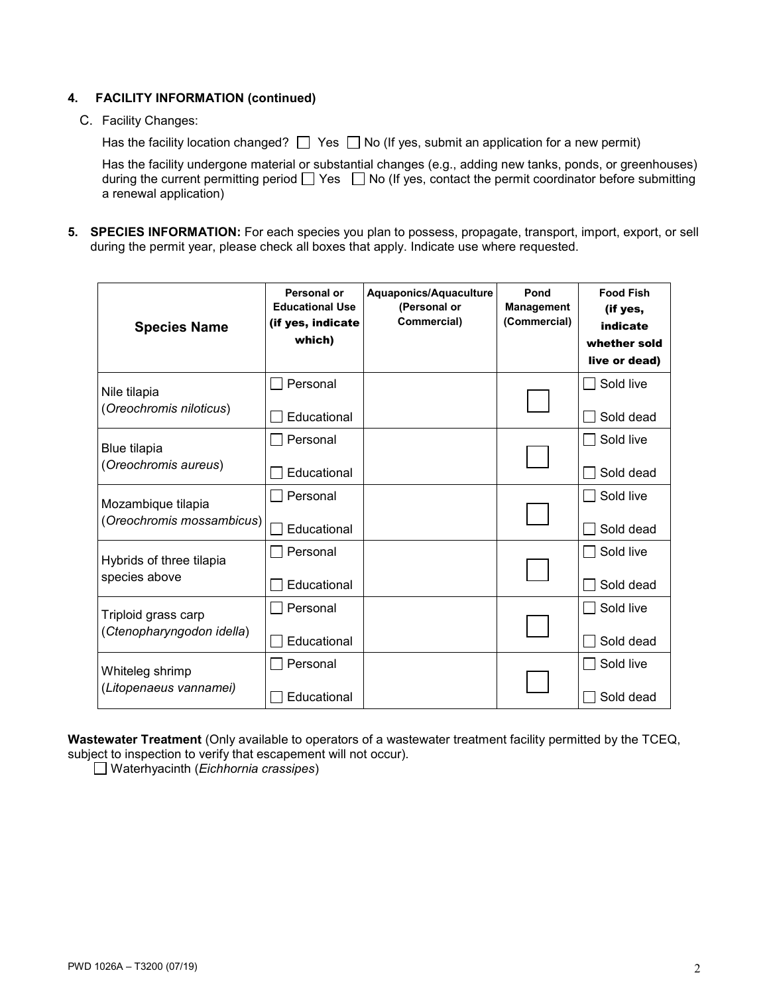## **4. FACILITY INFORMATION (continued)**

#### C. Facility Changes:

Has the facility location changed?  $\Box$  Yes  $\Box$  No (If yes, submit an application for a new permit)

Has the facility undergone material or substantial changes (e.g., adding new tanks, ponds, or greenhouses) during the current permitting period  $\Box$  Yes  $\Box$  No (If yes, contact the permit coordinator before submitting a renewal application)

**5. SPECIES INFORMATION:** For each species you plan to possess, propagate, transport, import, export, or sell during the permit year, please check all boxes that apply. Indicate use where requested.

| <b>Species Name</b>                              | Personal or<br><b>Educational Use</b><br>(if yes, indicate<br>which) | Aquaponics/Aquaculture<br>(Personal or<br>Commercial) | Pond<br><b>Management</b><br>(Commercial) | <b>Food Fish</b><br>(if yes,<br>indicate<br>whether sold<br>live or dead) |
|--------------------------------------------------|----------------------------------------------------------------------|-------------------------------------------------------|-------------------------------------------|---------------------------------------------------------------------------|
| Nile tilapia<br>(Oreochromis niloticus)          | Personal<br>Educational                                              |                                                       |                                           | Sold live<br>Sold dead                                                    |
| Blue tilapia<br>(Oreochromis aureus)             | Personal                                                             |                                                       |                                           | Sold live                                                                 |
|                                                  | Educational                                                          |                                                       |                                           | Sold dead                                                                 |
| Mozambique tilapia<br>(Oreochromis mossambicus)  | Personal                                                             |                                                       |                                           | Sold live                                                                 |
|                                                  | Educational                                                          |                                                       |                                           | Sold dead                                                                 |
| Hybrids of three tilapia<br>species above        | Personal                                                             |                                                       |                                           | Sold live                                                                 |
|                                                  | Educational                                                          |                                                       |                                           | Sold dead                                                                 |
| Triploid grass carp<br>(Ctenopharyngodon idella) | Personal                                                             |                                                       |                                           | Sold live                                                                 |
|                                                  | Educational                                                          |                                                       |                                           | Sold dead                                                                 |
| Whiteleg shrimp<br>(Litopenaeus vannamei)        | Personal                                                             |                                                       |                                           | Sold live                                                                 |
|                                                  | Educational                                                          |                                                       |                                           | Sold dead                                                                 |

**Wastewater Treatment** (Only available to operators of a wastewater treatment facility permitted by the TCEQ, subject to inspection to verify that escapement will not occur)*.*

Waterhyacinth (*Eichhornia crassipes*)